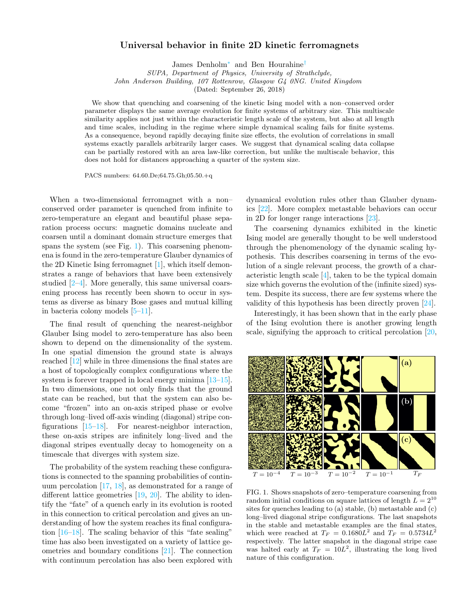## Universal behavior in finite 2D kinetic ferromagnets

James Denholm[∗](#page-3-0) and Ben Hourahine[†](#page-3-1)

SUPA, Department of Physics, University of Strathclyde,

John Anderson Building, 107 Rottenrow, Glasgow G4 0NG. United Kingdom

(Dated: September 26, 2018)

We show that quenching and coarsening of the kinetic Ising model with a non–conserved order parameter displays the same average evolution for finite systems of arbitrary size. This multiscale similarity applies not just within the characteristic length scale of the system, but also at all length and time scales, including in the regime where simple dynamical scaling fails for finite systems. As a consequence, beyond rapidly decaying finite size effects, the evolution of correlations in small systems exactly parallels arbitrarily larger cases. We suggest that dynamical scaling data collapse can be partially restored with an area law-like correction, but unlike the multiscale behavior, this does not hold for distances approaching a quarter of the system size.

PACS numbers: 64.60.De;64.75.Gh;05.50.+q

When a two-dimensional ferromagnet with a non– conserved order parameter is quenched from infinite to zero-temperature an elegant and beautiful phase separation process occurs: magnetic domains nucleate and coarsen until a dominant domain structure emerges that spans the system (see Fig. [1\)](#page-0-0). This coarsening phenomena is found in the zero-temperature Glauber dynamics of the 2D Kinetic Ising ferromagnet [\[1\]](#page-3-2), which itself demonstrates a range of behaviors that have been extensively studied [\[2–](#page-3-3)[4\]](#page-3-4). More generally, this same universal coarsening process has recently been shown to occur in systems as diverse as binary Bose gases and mutual killing in bacteria colony models [\[5](#page-3-5)[–11\]](#page-3-6).

The final result of quenching the nearest-neighbor Glauber Ising model to zero-temperature has also been shown to depend on the dimensionality of the system. In one spatial dimension the ground state is always reached [\[12\]](#page-3-7) while in three dimensions the final states are a host of topologically complex configurations where the system is forever trapped in local energy minima [\[13–](#page-3-8)[15\]](#page-3-9). In two dimensions, one not only finds that the ground state can be reached, but that the system can also become "frozen" into an on-axis striped phase or evolve through long–lived off-axis winding (diagonal) stripe configurations [\[15–](#page-3-9)[18\]](#page-3-10). For nearest-neighbor interaction, these on-axis stripes are infinitely long–lived and the diagonal stripes eventually decay to homogeneity on a timescale that diverges with system size.

The probability of the system reaching these configurations is connected to the spanning probabilities of continuum percolation [\[17,](#page-3-11) [18\]](#page-3-10), as demonstrated for a range of different lattice geometries [\[19,](#page-3-12) [20\]](#page-3-13). The ability to identify the "fate" of a quench early in its evolution is rooted in this connection to critical percolation and gives an understanding of how the system reaches its final configuration [\[16–](#page-3-14)[18\]](#page-3-10). The scaling behavior of this "fate sealing" time has also been investigated on a variety of lattice geometries and boundary conditions [\[21\]](#page-3-15). The connection with continuum percolation has also been explored with

dynamical evolution rules other than Glauber dynamics [\[22\]](#page-3-16). More complex metastable behaviors can occur in 2D for longer range interactions [\[23\]](#page-3-17).

The coarsening dynamics exhibited in the kinetic Ising model are generally thought to be well understood through the phenomenology of the dynamic scaling hypothesis. This describes coarsening in terms of the evolution of a single relevant process, the growth of a characteristic length scale [\[4\]](#page-3-4), taken to be the typical domain size which governs the evolution of the (infinite sized) system. Despite its success, there are few systems where the validity of this hypothesis has been directly proven [\[24\]](#page-3-18).

Interestingly, it has been shown that in the early phase of the Ising evolution there is another growing length scale, signifying the approach to critical percolation [\[20,](#page-3-13)



<span id="page-0-0"></span>FIG. 1. Shows snapshots of zero–temperature coarsening from random initial conditions on square lattices of length  $L = 2^{10}$ sites for quenches leading to (a) stable, (b) metastable and (c) long–lived diagonal stripe configurations. The last snapshots in the stable and metastable examples are the final states, which were reached at  $T_F = 0.1680L^2$  and  $T_F = 0.5734L^2$ respectively. The latter snapshot in the diagonal stripe case was halted early at  $T_F = 10L^2$ , illustrating the long lived nature of this configuration.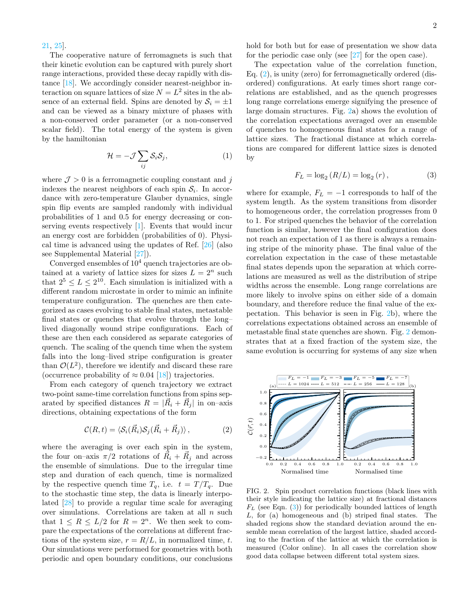## [21,](#page-3-15) [25\]](#page-3-19).

The cooperative nature of ferromagnets is such that their kinetic evolution can be captured with purely short range interactions, provided these decay rapidly with distance [\[18\]](#page-3-10). We accordingly consider nearest-neighbor interaction on square lattices of size  $N = L^2$  sites in the absence of an external field. Spins are denoted by  $S_i = \pm 1$ and can be viewed as a binary mixture of phases with a non-conserved order parameter (or a non-conserved scalar field). The total energy of the system is given by the hamiltonian

$$
\mathcal{H} = -\mathcal{J} \sum_{ij} \mathcal{S}_i \mathcal{S}_j,\tag{1}
$$

where  $J > 0$  is a ferromagnetic coupling constant and j indexes the nearest neighbors of each spin  $S_i$ . In accordance with zero-temperature Glauber dynamics, single spin flip events are sampled randomly with individual probabilities of 1 and 0.5 for energy decreasing or conserving events respectively [\[1\]](#page-3-2). Events that would incur an energy cost are forbidden (probabilities of 0). Physical time is advanced using the updates of Ref. [\[26\]](#page-3-20) (also see Supplemental Material [\[27\]](#page-3-21)).

Converged ensembles of  $10<sup>4</sup>$  quench trajectories are obtained at a variety of lattice sizes for sizes  $L = 2^n$  such that  $2^5 \le L \le 2^{10}$ . Each simulation is initialized with a different random microstate in order to mimic an infinite temperature configuration. The quenches are then categorized as cases evolving to stable final states, metastable final states or quenches that evolve through the long– lived diagonally wound stripe configurations. Each of these are then each considered as separate categories of quench. The scaling of the quench time when the system falls into the long–lived stripe configuration is greater than  $\mathcal{O}(L^2)$ , therefore we identify and discard these rare (occurrence probability of  $\approx 0.04$  [\[18\]](#page-3-10)) trajectories.

From each category of quench trajectory we extract two-point same-time correlation functions from spins separated by specified distances  $R = |\vec{R_i} + \vec{R_j}|$  in on-axis directions, obtaining expectations of the form

<span id="page-1-0"></span>
$$
\mathcal{C}(R,t) = \langle \mathcal{S}_i(\vec{R}_i)\mathcal{S}_j(\vec{R}_i + \vec{R}_j) \rangle, \qquad (2)
$$

where the averaging is over each spin in the system, the four on–axis  $\pi/2$  rotations of  $\vec{R}_i + \vec{R}_j$  and across the ensemble of simulations. Due to the irregular time step and duration of each quench, time is normalized by the respective quench time  $T_q$ , i.e.  $t = T/T_q$ . Due to the stochastic time step, the data is linearly interpolated [\[28\]](#page-3-22) to provide a regular time scale for averaging over simulations. Correlations are taken at all  $n$  such that  $1 \leq R \leq L/2$  for  $R = 2^n$ . We then seek to compare the expectations of the correlations at different fractions of the system size,  $r = R/L$ , in normalized time, t. Our simulations were performed for geometries with both periodic and open boundary conditions, our conclusions

hold for both but for ease of presentation we show data for the periodic case only (see [\[27\]](#page-3-21) for the open case).

The expectation value of the correlation function, Eq. [\(2\)](#page-1-0), is unity (zero) for ferromagnetically ordered (disordered) configurations. At early times short range correlations are established, and as the quench progresses long range correlations emerge signifying the presence of large domain structures. Fig. [2a](#page-1-1)) shows the evolution of the correlation expectations averaged over an ensemble of quenches to homogeneous final states for a range of lattice sizes. The fractional distance at which correlations are compared for different lattice sizes is denoted by

<span id="page-1-2"></span>
$$
F_L = \log_2 (R/L) = \log_2 (r), \tag{3}
$$

where for example,  $F_L = -1$  corresponds to half of the system length. As the system transitions from disorder to homogeneous order, the correlation progresses from 0 to 1. For striped quenches the behavior of the correlation function is similar, however the final configuration does not reach an expectation of 1 as there is always a remaining stripe of the minority phase. The final value of the correlation expectation in the case of these metastable final states depends upon the separation at which correlations are measured as well as the distribution of stripe widths across the ensemble. Long range correlations are more likely to involve spins on either side of a domain boundary, and therefore reduce the final value of the expectation. This behavior is seen in Fig. [2b](#page-1-1)), where the correlations expectations obtained across an ensemble of metastable final state quenches are shown. Fig. [2](#page-1-1) demonstrates that at a fixed fraction of the system size, the same evolution is occurring for systems of any size when



<span id="page-1-1"></span>FIG. 2. Spin product correlation functions (black lines with their style indicating the lattice size) at fractional distances  $F<sub>L</sub>$  (see Eqn. [\(3\)](#page-1-2)) for periodically bounded lattices of length L, for (a) homogeneous and (b) striped final states. The shaded regions show the standard deviation around the ensemble mean correlation of the largest lattice, shaded according to the fraction of the lattice at which the correlation is measured (Color online). In all cases the correlation show good data collapse between different total system sizes.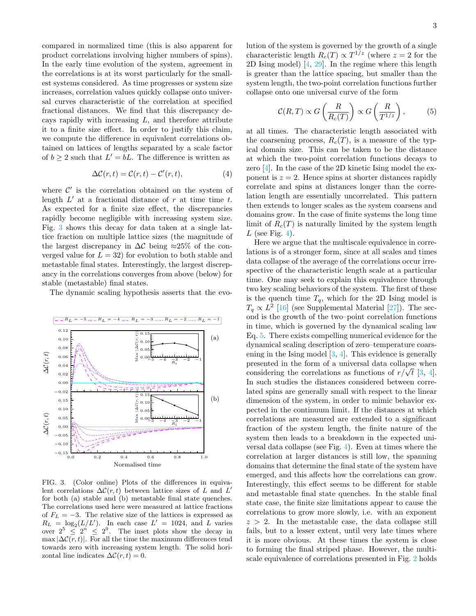compared in normalized time (this is also apparent for product correlations involving higher numbers of spins). In the early time evolution of the system, agreement in the correlations is at its worst particularly for the smallest systems considered. As time progresses or system size increases, correlation values quickly collapse onto universal curves characteristic of the correlation at specified fractional distances. We find that this discrepancy decays rapidly with increasing  $L$ , and therefore attribute it to a finite size effect. In order to justify this claim, we compute the difference in equivalent correlations obtained on lattices of lengths separated by a scale factor of  $b \geq 2$  such that  $L' = bL$ . The difference is written as

$$
\Delta \mathcal{C}(r,t) = \mathcal{C}(r,t) - \mathcal{C}'(r,t),\tag{4}
$$

where  $\mathcal{C}'$  is the correlation obtained on the system of length  $L'$  at a fractional distance of r at time time t. As expected for a finite size effect, the discrepancies rapidly become negligible with increasing system size. Fig. [3](#page-2-0) shows this decay for data taken at a single lattice fraction on multiple lattice sizes (the magnitude of the largest discrepancy in  $\Delta\mathcal{C}$  being ≈25% of the converged value for  $L = 32$  for evolution to both stable and metastable final states. Interestingly, the largest discrepancy in the correlations converges from above (below) for stable (metastable) final states.

The dynamic scaling hypothesis asserts that the evo-



<span id="page-2-0"></span>FIG. 3. (Color online) Plots of the differences in equivalent correlations  $\Delta\mathcal{C}(r,t)$  between lattice sizes of L and L' for both (a) stable and (b) metastable final state quenches. The correlations used here were measured at lattice fractions of  $F_L = -3$ . The relative size of the lattices is expressed as  $R_L = \log_2(L/L')$ . In each case  $L' = 1024$ , and L varies over  $2^5 \leq 2^n \leq 2^9$ . The inset plots show the decay in max  $|\Delta C(r, t)|$ . For all the time the maximum differences tend towards zero with increasing system length. The solid horizontal line indicates  $\Delta \mathcal{C}(r, t) = 0$ .

lution of the system is governed by the growth of a single characteristic length  $R_c(T) \propto T^{1/z}$  (where  $z = 2$  for the 2D Ising model) [\[4,](#page-3-4) [29\]](#page-3-23). In the regime where this length is greater than the lattice spacing, but smaller than the system length, the two-point correlation functions further collapse onto one universal curve of the form

<span id="page-2-1"></span>
$$
\mathcal{C}(R,T) \propto G\left(\frac{R}{R_c(T)}\right) \propto G\left(\frac{R}{T^{1/z}}\right),\tag{5}
$$

at all times. The characteristic length associated with the coarsening process,  $R_c(T)$ , is a measure of the typical domain size. This can be taken to be the distance at which the two-point correlation functions decays to zero [\[4\]](#page-3-4). In the case of the 2D kinetic Ising model the exponent is  $z = 2$ . Hence spins at shorter distances rapidly correlate and spins at distances longer than the correlation length are essentially uncorrelated. This pattern then extends to longer scales as the system coarsens and domains grow. In the case of finite systems the long time limit of  $R_c(T)$  is naturally limited by the system length  $L$  (see Fig. [4\)](#page-3-24).

Here we argue that the multiscale equivalence in correlations is of a stronger form, since at all scales and times data collapse of the average of the correlations occur irrespective of the characteristic length scale at a particular time. One may seek to explain this equivalence through two key scaling behaviors of the system. The first of these is the quench time  $T_q$ , which for the 2D Ising model is  $T_q \propto L^2$  [\[16\]](#page-3-14) (see Supplemental Material [\[27\]](#page-3-21)). The second is the growth of the two–point correlation functions in time, which is governed by the dynamical scaling law Eq. [5.](#page-2-1) There exists compelling numerical evidence for the dynamical scaling description of zero–temperature coarsening in the Ising model [\[3,](#page-3-25) [4\]](#page-3-4). This evidence is generally presented in the form of a universal data collapse when presented in the form of a universal data collapse when<br>considering the correlations as functions of  $r/\sqrt{t}$  [\[3,](#page-3-25) [4\]](#page-3-4). In such studies the distances considered between correlated spins are generally small with respect to the linear dimension of the system, in order to mimic behavior expected in the continuum limit. If the distances at which correlations are measured are extended to a significant fraction of the system length, the finite nature of the system then leads to a breakdown in the expected universal data collapse (see Fig. [4\)](#page-3-24). Even at times where the correlation at larger distances is still low, the spanning domains that determine the final state of the system have emerged, and this affects how the correlations can grow. Interestingly, this effect seems to be different for stable and metastable final state quenches. In the stable final state case, the finite size limitations appear to cause the correlations to grow more slowly, i.e. with an exponent  $z > 2$ . In the metastable case, the data collapse still fails, but to a lesser extent, until very late times where it is more obvious. At these times the system is close to forming the final striped phase. However, the multiscale equivalence of correlations presented in Fig. [2](#page-1-1) holds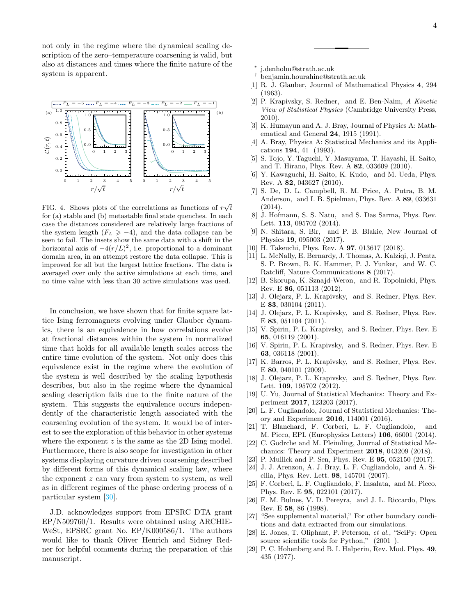not only in the regime where the dynamical scaling description of the zero–temperature coarsening is valid, but also at distances and times where the finite nature of the system is apparent.



<span id="page-3-24"></span>FIG. 4. Shows plots of the correlations as functions of  $r\sqrt{t}$ for (a) stable and (b) metastable final state quenches. In each case the distances considered are relatively large fractions of the system length  $(F_L \ge -4)$ , and the data collapse can be seen to fail. The insets show the same data with a shift in the horizontal axis of  $-4(r/L)^2$ , i.e. proportional to a dominant domain area, in an attempt restore the data collapse. This is improved for all but the largest lattice fractions. The data is averaged over only the active simulations at each time, and no time value with less than 30 active simulations was used.

In conclusion, we have shown that for finite square lattice Ising ferromagnets evolving under Glauber dynamics, there is an equivalence in how correlations evolve at fractional distances within the system in normalized time that holds for all available length scales across the entire time evolution of the system. Not only does this equivalence exist in the regime where the evolution of the system is well described by the scaling hypothesis describes, but also in the regime where the dynamical scaling description fails due to the finite nature of the system. This suggests the equivalence occurs independently of the characteristic length associated with the coarsening evolution of the system. It would be of interest to see the exploration of this behavior in other systems where the exponent  $z$  is the same as the 2D Ising model. Furthermore, there is also scope for investigation in other systems displaying curvature driven coarsening described by different forms of this dynamical scaling law, where the exponent  $z$  can vary from system to system, as well as in different regimes of the phase ordering process of a particular system [\[30\]](#page-4-0).

J.D. acknowledges support from EPSRC DTA grant EP/N509760/1. Results were obtained using ARCHIE-WeSt, EPSRC grant No. EP/K000586/1. The authors would like to thank Oliver Henrich and Sidney Redner for helpful comments during the preparation of this manuscript.

- <span id="page-3-0"></span>∗ [j.denholm@strath.ac.uk](mailto:j.denholm@strath.ac.uk)
- <span id="page-3-1"></span>† [benjamin.hourahine@strath.ac.uk](mailto:benjamin.hourahine@strath.ac.uk)
- <span id="page-3-2"></span>[1] R. J. Glauber, Journal of Mathematical Physics 4, 294 (1963).
- <span id="page-3-3"></span>[2] P. Krapivsky, S. Redner, and E. Ben-Naim, A Kinetic View of Statistical Physics (Cambridge University Press, 2010).
- <span id="page-3-25"></span>[3] K. Humayun and A. J. Bray, Journal of Physics A: Mathematical and General 24, 1915 (1991).
- <span id="page-3-4"></span>[4] A. Bray, Physica A: Statistical Mechanics and its Applications 194, 41 (1993).
- <span id="page-3-5"></span>[5] S. Tojo, Y. Taguchi, Y. Masuyama, T. Hayashi, H. Saito, and T. Hirano, Phys. Rev. A 82, 033609 (2010).
- [6] Y. Kawaguchi, H. Saito, K. Kudo, and M. Ueda, Phys. Rev. A 82, 043627 (2010).
- [7] S. De, D. L. Campbell, R. M. Price, A. Putra, B. M. Anderson, and I. B. Spielman, Phys. Rev. A 89, 033631 (2014).
- [8] J. Hofmann, S. S. Natu, and S. Das Sarma, Phys. Rev. Lett. 113, 095702 (2014).
- [9] N. Shitara, S. Bir, and P. B. Blakie, New Journal of Physics 19, 095003 (2017).
- [10] H. Takeuchi, Phys. Rev. A 97, 013617 (2018).
- <span id="page-3-6"></span>[11] L. McNally, E. Bernardy, J. Thomas, A. Kalziqi, J. Pentz, S. P. Brown, B. K. Hammer, P. J. Yunker, and W. C. Ratcliff, Nature Communications 8 (2017).
- <span id="page-3-7"></span>[12] B. Skorupa, K. Sznajd-Weron, and R. Topolnicki, Phys. Rev. E 86, 051113 (2012).
- <span id="page-3-8"></span>[13] J. Olejarz, P. L. Krapivsky, and S. Redner, Phys. Rev. E 83, 030104 (2011).
- [14] J. Olejarz, P. L. Krapivsky, and S. Redner, Phys. Rev. E 83, 051104 (2011).
- <span id="page-3-9"></span>[15] V. Spirin, P. L. Krapivsky, and S. Redner, Phys. Rev. E 65, 016119 (2001).
- <span id="page-3-14"></span>[16] V. Spirin, P. L. Krapivsky, and S. Redner, Phys. Rev. E 63, 036118 (2001).
- <span id="page-3-11"></span>[17] K. Barros, P. L. Krapivsky, and S. Redner, Phys. Rev. E 80, 040101 (2009).
- <span id="page-3-10"></span>[18] J. Olejarz, P. L. Krapivsky, and S. Redner, Phys. Rev. Lett. 109, 195702 (2012).
- <span id="page-3-12"></span>[19] U. Yu, Journal of Statistical Mechanics: Theory and Experiment 2017, 123203 (2017).
- <span id="page-3-13"></span>[20] L. F. Cugliandolo, Journal of Statistical Mechanics: Theory and Experiment 2016, 114001 (2016).
- <span id="page-3-15"></span>[21] T. Blanchard, F. Corberi, L. F. Cugliandolo, and M. Picco, EPL (Europhysics Letters) 106, 66001 (2014).
- <span id="page-3-16"></span>[22] C. Godrche and M. Pleimling, Journal of Statistical Mechanics: Theory and Experiment 2018, 043209 (2018).
- <span id="page-3-17"></span>[23] P. Mullick and P. Sen, Phys. Rev. E **95**, 052150 (2017).
- <span id="page-3-18"></span>[24] J. J. Arenzon, A. J. Bray, L. F. Cugliandolo, and A. Sicilia, Phys. Rev. Lett. 98, 145701 (2007).
- <span id="page-3-19"></span>[25] F. Corberi, L. F. Cugliandolo, F. Insalata, and M. Picco, Phys. Rev. E 95, 022101 (2017).
- <span id="page-3-20"></span>[26] F. M. Bulnes, V. D. Pereyra, and J. L. Riccardo, Phys. Rev. E 58, 86 (1998).
- <span id="page-3-21"></span>[27] "See supplemental material," For other boundary conditions and data extracted from our simulations.
- <span id="page-3-22"></span>[28] E. Jones, T. Oliphant, P. Peterson, et al., ["SciPy: Open](http://www.scipy.org/) [source scientific tools for Python,"](http://www.scipy.org/) (2001–).
- <span id="page-3-23"></span>[29] P. C. Hohenberg and B. I. Halperin, Rev. Mod. Phys. 49, 435 (1977).